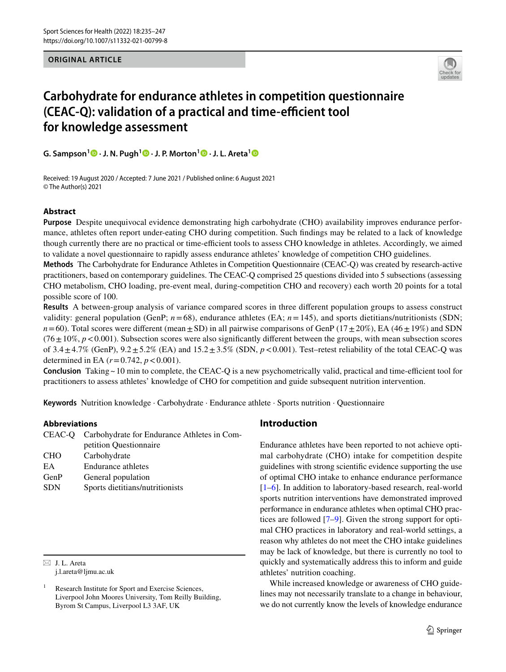#### **ORIGINAL ARTICLE**



# **Carbohydrate for endurance athletes in competition questionnaire (CEAC-Q): validation of a practical and time-efficient tool for knowledge assessment**

**G. Sampson1  [·](http://orcid.org/0000-0002-6194-5740) J. N. Pugh1  [·](http://orcid.org/0000-0002-5930-4709) J. P. Morton[1](http://orcid.org/0000-0003-2776-2542) · J. L. Areta[1](http://orcid.org/0000-0001-6918-1223)**

Received: 19 August 2020 / Accepted: 7 June 2021 / Published online: 6 August 2021 © The Author(s) 2021

# **Abstract**

**Purpose** Despite unequivocal evidence demonstrating high carbohydrate (CHO) availability improves endurance performance, athletes often report under-eating CHO during competition. Such fndings may be related to a lack of knowledge though currently there are no practical or time-efficient tools to assess CHO knowledge in athletes. Accordingly, we aimed to validate a novel questionnaire to rapidly assess endurance athletes' knowledge of competition CHO guidelines.

**Methods** The Carbohydrate for Endurance Athletes in Competition Questionnaire (CEAC-Q) was created by research-active practitioners, based on contemporary guidelines. The CEAC-Q comprised 25 questions divided into 5 subsections (assessing CHO metabolism, CHO loading, pre-event meal, during-competition CHO and recovery) each worth 20 points for a total possible score of 100.

**Results** A between-group analysis of variance compared scores in three diferent population groups to assess construct validity: general population (GenP;  $n=68$ ), endurance athletes (EA;  $n=145$ ), and sports dietitians/nutritionists (SDN;  $n=60$ ). Total scores were different (mean $\pm$ SD) in all pairwise comparisons of GenP (17 $\pm$ 20%), EA (46 $\pm$ 19%) and SDN  $(76 \pm 10\%, p < 0.001)$ . Subsection scores were also significantly different between the groups, with mean subsection scores of  $3.4 \pm 4.7\%$  (GenP),  $9.2 \pm 5.2\%$  (EA) and  $15.2 \pm 3.5\%$  (SDN,  $p < 0.001$ ). Test–retest reliability of the total CEAC-Q was determined in EA  $(r=0.742, p < 0.001)$ .

**Conclusion** Taking  $\sim$  10 min to complete, the CEAC-Q is a new psychometrically valid, practical and time-efficient tool for practitioners to assess athletes' knowledge of CHO for competition and guide subsequent nutrition intervention.

**Keywords** Nutrition knowledge · Carbohydrate · Endurance athlete · Sports nutrition · Questionnaire

#### **Abbreviations**

|            | CEAC-Q Carbohydrate for Endurance Athletes in Com- |  |  |
|------------|----------------------------------------------------|--|--|
|            | petition Questionnaire                             |  |  |
| <b>CHO</b> | Carbohydrate                                       |  |  |
| EA.        | <b>Endurance athletes</b>                          |  |  |
| GenP       | General population                                 |  |  |
| <b>SDN</b> | Sports dietitians/nutritionists                    |  |  |
|            |                                                    |  |  |

 $\boxtimes$  J. L. Areta j.l.areta@ljmu.ac.uk

# **Introduction**

Endurance athletes have been reported to not achieve optimal carbohydrate (CHO) intake for competition despite guidelines with strong scientifc evidence supporting the use of optimal CHO intake to enhance endurance performance [[1–](#page-11-0)[6\]](#page-11-1). In addition to laboratory-based research, real-world sports nutrition interventions have demonstrated improved performance in endurance athletes when optimal CHO practices are followed [[7–](#page-11-2)[9\]](#page-11-3). Given the strong support for optimal CHO practices in laboratory and real-world settings, a reason why athletes do not meet the CHO intake guidelines may be lack of knowledge, but there is currently no tool to quickly and systematically address this to inform and guide athletes' nutrition coaching.

While increased knowledge or awareness of CHO guidelines may not necessarily translate to a change in behaviour, we do not currently know the levels of knowledge endurance

Research Institute for Sport and Exercise Sciences, Liverpool John Moores University, Tom Reilly Building, Byrom St Campus, Liverpool L3 3AF, UK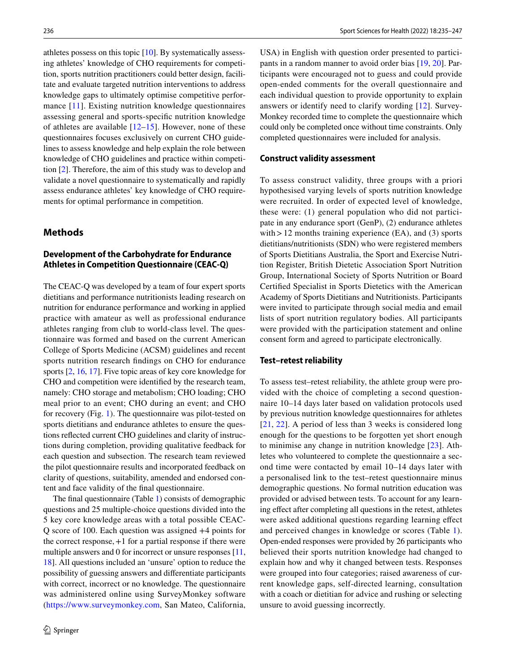athletes possess on this topic [\[10](#page-11-4)]. By systematically assessing athletes' knowledge of CHO requirements for competition, sports nutrition practitioners could better design, facilitate and evaluate targeted nutrition interventions to address knowledge gaps to ultimately optimise competitive performance [[11\]](#page-11-5). Existing nutrition knowledge questionnaires assessing general and sports-specifc nutrition knowledge of athletes are available  $[12-15]$  $[12-15]$ . However, none of these questionnaires focuses exclusively on current CHO guidelines to assess knowledge and help explain the role between knowledge of CHO guidelines and practice within competition [\[2](#page-11-8)]. Therefore, the aim of this study was to develop and validate a novel questionnaire to systematically and rapidly assess endurance athletes' key knowledge of CHO requirements for optimal performance in competition.

## **Methods**

# **Development of the Carbohydrate for Endurance Athletes in Competition Questionnaire (CEAC‑Q)**

The CEAC-Q was developed by a team of four expert sports dietitians and performance nutritionists leading research on nutrition for endurance performance and working in applied practice with amateur as well as professional endurance athletes ranging from club to world-class level. The questionnaire was formed and based on the current American College of Sports Medicine (ACSM) guidelines and recent sports nutrition research fndings on CHO for endurance sports [\[2](#page-11-8), [16](#page-11-9), [17\]](#page-11-10). Five topic areas of key core knowledge for CHO and competition were identifed by the research team, namely: CHO storage and metabolism; CHO loading; CHO meal prior to an event; CHO during an event; and CHO for recovery (Fig. [1\)](#page-2-0). The questionnaire was pilot-tested on sports dietitians and endurance athletes to ensure the questions refected current CHO guidelines and clarity of instructions during completion, providing qualitative feedback for each question and subsection. The research team reviewed the pilot questionnaire results and incorporated feedback on clarity of questions, suitability, amended and endorsed content and face validity of the fnal questionnaire.

The fnal questionnaire (Table [1\)](#page-3-0) consists of demographic questions and 25 multiple-choice questions divided into the 5 key core knowledge areas with a total possible CEAC-Q score of 100. Each question was assigned +4 points for the correct response,+1 for a partial response if there were multiple answers and 0 for incorrect or unsure responses [[11,](#page-11-5) [18](#page-11-11)]. All questions included an 'unsure' option to reduce the possibility of guessing answers and diferentiate participants with correct, incorrect or no knowledge. The questionnaire was administered online using SurveyMonkey software (<https://www.surveymonkey.com>, San Mateo, California,

USA) in English with question order presented to participants in a random manner to avoid order bias [\[19](#page-11-12), [20](#page-11-13)]. Participants were encouraged not to guess and could provide open-ended comments for the overall questionnaire and each individual question to provide opportunity to explain answers or identify need to clarify wording [[12](#page-11-6)]. Survey-Monkey recorded time to complete the questionnaire which could only be completed once without time constraints. Only completed questionnaires were included for analysis.

#### **Construct validity assessment**

To assess construct validity, three groups with a priori hypothesised varying levels of sports nutrition knowledge were recruited. In order of expected level of knowledge, these were: (1) general population who did not participate in any endurance sport (GenP), (2) endurance athletes with  $>12$  months training experience (EA), and (3) sports dietitians/nutritionists (SDN) who were registered members of Sports Dietitians Australia, the Sport and Exercise Nutrition Register, British Dietetic Association Sport Nutrition Group, International Society of Sports Nutrition or Board Certifed Specialist in Sports Dietetics with the American Academy of Sports Dietitians and Nutritionists. Participants were invited to participate through social media and email lists of sport nutrition regulatory bodies. All participants were provided with the participation statement and online consent form and agreed to participate electronically.

#### **Test–retest reliability**

To assess test–retest reliability, the athlete group were provided with the choice of completing a second questionnaire 10–14 days later based on validation protocols used by previous nutrition knowledge questionnaires for athletes [[21,](#page-11-14) [22](#page-11-15)]. A period of less than 3 weeks is considered long enough for the questions to be forgotten yet short enough to minimise any change in nutrition knowledge [[23\]](#page-11-16). Athletes who volunteered to complete the questionnaire a second time were contacted by email 10–14 days later with a personalised link to the test–retest questionnaire minus demographic questions. No formal nutrition education was provided or advised between tests. To account for any learning efect after completing all questions in the retest, athletes were asked additional questions regarding learning efect and perceived changes in knowledge or scores (Table [1](#page-3-0)). Open-ended responses were provided by 26 participants who believed their sports nutrition knowledge had changed to explain how and why it changed between tests. Responses were grouped into four categories; raised awareness of current knowledge gaps, self-directed learning, consultation with a coach or dietitian for advice and rushing or selecting unsure to avoid guessing incorrectly.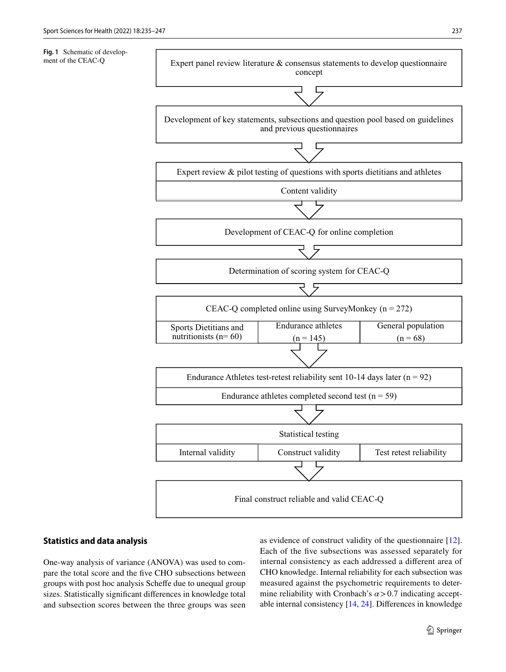<span id="page-2-0"></span>ment of the CEAC-Q



# **Statistics and data analysis**

One-way analysis of variance (ANOVA) was used to compare the total score and the fve CHO subsections between groups with post hoc analysis Schefe due to unequal group sizes. Statistically signifcant diferences in knowledge total and subsection scores between the three groups was seen as evidence of construct validity of the questionnaire [\[12](#page-11-6)]. Each of the fve subsections was assessed separately for internal consistency as each addressed a diferent area of CHO knowledge. Internal reliability for each subsection was measured against the psychometric requirements to determine reliability with Cronbach's  $\alpha$  > 0.7 indicating acceptable internal consistency [\[14](#page-11-17), [24\]](#page-11-18). Diferences in knowledge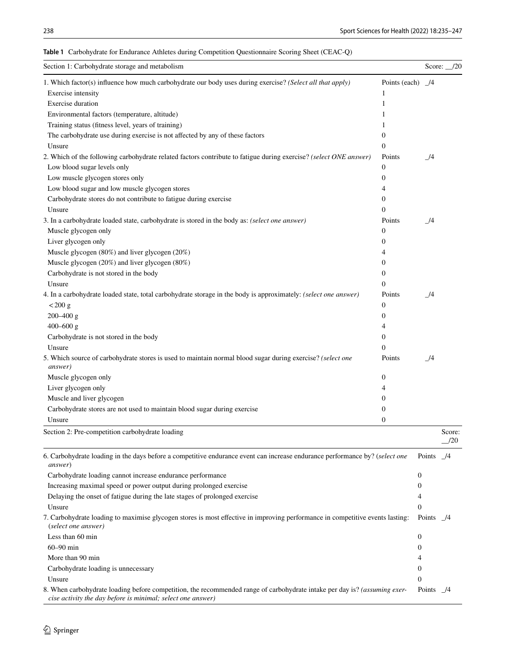| Section 1: Carbohydrate storage and metabolism                                                                                                                                           |                |                      | Score: $\_\$ 20 |
|------------------------------------------------------------------------------------------------------------------------------------------------------------------------------------------|----------------|----------------------|-----------------|
| 1. Which factor(s) influence how much carbohydrate our body uses during exercise? (Select all that apply)                                                                                | Points (each)  | $\frac{14}{2}$       |                 |
| Exercise intensity                                                                                                                                                                       | 1              |                      |                 |
| <b>Exercise</b> duration                                                                                                                                                                 | 1              |                      |                 |
| Environmental factors (temperature, altitude)                                                                                                                                            | 1              |                      |                 |
| Training status (fitness level, years of training)                                                                                                                                       |                |                      |                 |
| The carbohydrate use during exercise is not affected by any of these factors                                                                                                             | 0              |                      |                 |
| Unsure                                                                                                                                                                                   | $\overline{0}$ |                      |                 |
| 2. Which of the following carbohydrate related factors contribute to fatigue during exercise? (select ONE answer)                                                                        | Points         | _/4                  |                 |
| Low blood sugar levels only                                                                                                                                                              | 0              |                      |                 |
| Low muscle glycogen stores only                                                                                                                                                          | 0              |                      |                 |
| Low blood sugar and low muscle glycogen stores                                                                                                                                           | 4              |                      |                 |
| Carbohydrate stores do not contribute to fatigue during exercise                                                                                                                         | 0              |                      |                 |
| Unsure                                                                                                                                                                                   | 0              |                      |                 |
| 3. In a carbohydrate loaded state, carbohydrate is stored in the body as: (select one answer)                                                                                            | Points         | 1/4                  |                 |
| Muscle glycogen only                                                                                                                                                                     | 0              |                      |                 |
| Liver glycogen only                                                                                                                                                                      | 0              |                      |                 |
| Muscle glycogen (80%) and liver glycogen (20%)                                                                                                                                           | 4              |                      |                 |
| Muscle glycogen (20%) and liver glycogen (80%)                                                                                                                                           | 0              |                      |                 |
| Carbohydrate is not stored in the body                                                                                                                                                   | 0              |                      |                 |
| Unsure                                                                                                                                                                                   | 0              |                      |                 |
| 4. In a carbohydrate loaded state, total carbohydrate storage in the body is approximately: (select one answer)                                                                          | Points         | _/4                  |                 |
| $< 200$ g                                                                                                                                                                                | 0              |                      |                 |
| $200 - 400$ g                                                                                                                                                                            | 0              |                      |                 |
| $400 - 600$ g                                                                                                                                                                            | 4              |                      |                 |
| Carbohydrate is not stored in the body                                                                                                                                                   | 0              |                      |                 |
| Unsure                                                                                                                                                                                   | 0              |                      |                 |
| 5. Which source of carbohydrate stores is used to maintain normal blood sugar during exercise? (select one<br><i>answer</i> )                                                            | Points         | $\frac{1}{4}$        |                 |
| Muscle glycogen only                                                                                                                                                                     | 0              |                      |                 |
| Liver glycogen only                                                                                                                                                                      | 4              |                      |                 |
| Muscle and liver glycogen                                                                                                                                                                | 0              |                      |                 |
| Carbohydrate stores are not used to maintain blood sugar during exercise                                                                                                                 | 0              |                      |                 |
| Unsure                                                                                                                                                                                   | 0              |                      |                 |
| Section 2: Pre-competition carbohydrate loading                                                                                                                                          |                |                      | Score:<br>/20   |
| 6. Carbohydrate loading in the days before a competitive endurance event can increase endurance performance by? (select one<br><i>answer</i> )                                           |                | Points $\frac{1}{4}$ |                 |
| Carbohydrate loading cannot increase endurance performance                                                                                                                               |                | 0                    |                 |
| Increasing maximal speed or power output during prolonged exercise                                                                                                                       |                | 0                    |                 |
| Delaying the onset of fatigue during the late stages of prolonged exercise                                                                                                               |                | 4                    |                 |
| Unsure                                                                                                                                                                                   |                | $\Omega$             |                 |
| 7. Carbohydrate loading to maximise glycogen stores is most effective in improving performance in competitive events lasting:<br>(select one answer)                                     |                | Points $\frac{1}{4}$ |                 |
| Less than 60 min                                                                                                                                                                         |                | 0                    |                 |
| $60 - 90$ min                                                                                                                                                                            |                | 0                    |                 |
| More than 90 min                                                                                                                                                                         |                | 4                    |                 |
| Carbohydrate loading is unnecessary                                                                                                                                                      |                | 0                    |                 |
| Unsure                                                                                                                                                                                   |                | $\mathbf{0}$         |                 |
| 8. When carbohydrate loading before competition, the recommended range of carbohydrate intake per day is? (assuming exer-<br>cise activity the day before is minimal; select one answer) |                | Points               | $^{14}$         |

### <span id="page-3-0"></span>**Table 1** Carbohydrate for Endurance Athletes during Competition Questionnaire Scoring Sheet (CEAC-Q)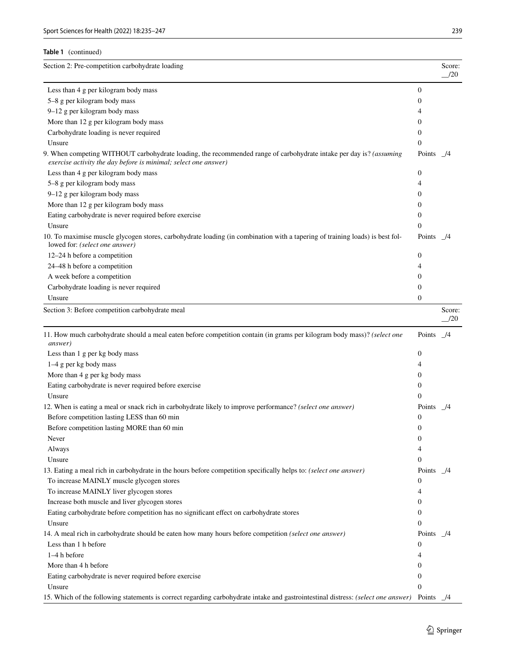|  | Table 1 (continued) |
|--|---------------------|
|--|---------------------|

| Section 2: Pre-competition carbohydrate loading                                                                                                                                       |                      | Score:<br>/20            |
|---------------------------------------------------------------------------------------------------------------------------------------------------------------------------------------|----------------------|--------------------------|
| Less than 4 g per kilogram body mass                                                                                                                                                  | $\mathbf{0}$         |                          |
| 5-8 g per kilogram body mass                                                                                                                                                          | $\mathbf{0}$         |                          |
| 9-12 g per kilogram body mass                                                                                                                                                         | 4                    |                          |
| More than 12 g per kilogram body mass                                                                                                                                                 | $\overline{0}$       |                          |
| Carbohydrate loading is never required                                                                                                                                                | $\overline{0}$       |                          |
| Unsure                                                                                                                                                                                | $\mathbf{0}$         |                          |
| 9. When competing WITHOUT carbohydrate loading, the recommended range of carbohydrate intake per day is? (assuming<br>exercise activity the day before is minimal; select one answer) | Points               | - 74                     |
| Less than 4 g per kilogram body mass                                                                                                                                                  | $\boldsymbol{0}$     |                          |
| 5-8 g per kilogram body mass                                                                                                                                                          | 4                    |                          |
| 9-12 g per kilogram body mass                                                                                                                                                         | $\mathbf{0}$         |                          |
| More than 12 g per kilogram body mass                                                                                                                                                 | $\mathbf{0}$         |                          |
| Eating carbohydrate is never required before exercise                                                                                                                                 | $\mathbf{0}$         |                          |
| Unsure                                                                                                                                                                                | $\Omega$             |                          |
| 10. To maximise muscle glycogen stores, carbohydrate loading (in combination with a tapering of training loads) is best fol-<br>lowed for: (select one answer)                        | Points               | - 74                     |
| 12-24 h before a competition                                                                                                                                                          | $\boldsymbol{0}$     |                          |
| 24–48 h before a competition                                                                                                                                                          | 4                    |                          |
| A week before a competition                                                                                                                                                           | $\mathbf{0}$         |                          |
| Carbohydrate loading is never required                                                                                                                                                | $\overline{0}$       |                          |
| Unsure                                                                                                                                                                                | $\boldsymbol{0}$     |                          |
| Section 3: Before competition carbohydrate meal                                                                                                                                       |                      | Score:<br>$\frac{1}{20}$ |
| 11. How much carbohydrate should a meal eaten before competition contain (in grams per kilogram body mass)? (select one<br><i>answer</i> )                                            | Points $\frac{1}{4}$ |                          |
| Less than 1 g per kg body mass                                                                                                                                                        | $\mathbf{0}$         |                          |
| 1-4 g per kg body mass                                                                                                                                                                | 4                    |                          |
| More than 4 g per kg body mass                                                                                                                                                        | $\mathbf{0}$         |                          |
| Eating carbohydrate is never required before exercise                                                                                                                                 | $\mathbf{0}$         |                          |
| Unsure                                                                                                                                                                                | $\Omega$             |                          |
| 12. When is eating a meal or snack rich in carbohydrate likely to improve performance? (select one answer)                                                                            | Points $\frac{1}{4}$ |                          |
| Before competition lasting LESS than 60 min                                                                                                                                           | $\overline{0}$       |                          |
| Before competition lasting MORE than 60 min                                                                                                                                           | $\mathbf{0}$         |                          |
| Never                                                                                                                                                                                 | $\theta$             |                          |
| Always                                                                                                                                                                                | 4                    |                          |
| Unsure                                                                                                                                                                                | $\boldsymbol{0}$     |                          |
| 13. Eating a meal rich in carbohydrate in the hours before competition specifically helps to: (select one answer)                                                                     | Points /4            |                          |
| To increase MAINLY muscle glycogen stores                                                                                                                                             | $\bf{0}$             |                          |
|                                                                                                                                                                                       | 4                    |                          |
| To increase MAINLY liver glycogen stores<br>Increase both muscle and liver glycogen stores                                                                                            | $\mathbf{0}$         |                          |
| Eating carbohydrate before competition has no significant effect on carbohydrate stores                                                                                               | 0                    |                          |
|                                                                                                                                                                                       |                      |                          |
| Unsure                                                                                                                                                                                | $\mathbf{0}$         |                          |
| 14. A meal rich in carbohydrate should be eaten how many hours before competition (select one answer)                                                                                 | Points $\frac{1}{4}$ |                          |
| Less than 1 h before                                                                                                                                                                  | $\mathbf{0}$         |                          |
| $1-4h$ before                                                                                                                                                                         | 4                    |                          |
| More than 4 h before                                                                                                                                                                  | $\mathbf{0}$         |                          |
| Eating carbohydrate is never required before exercise                                                                                                                                 | $\mathbf{0}$         |                          |
| Unsure                                                                                                                                                                                | $\Omega$             |                          |
| 15. Which of the following statements is correct regarding carbohydrate intake and gastrointestinal distress: (select one answer) Points _/4                                          |                      |                          |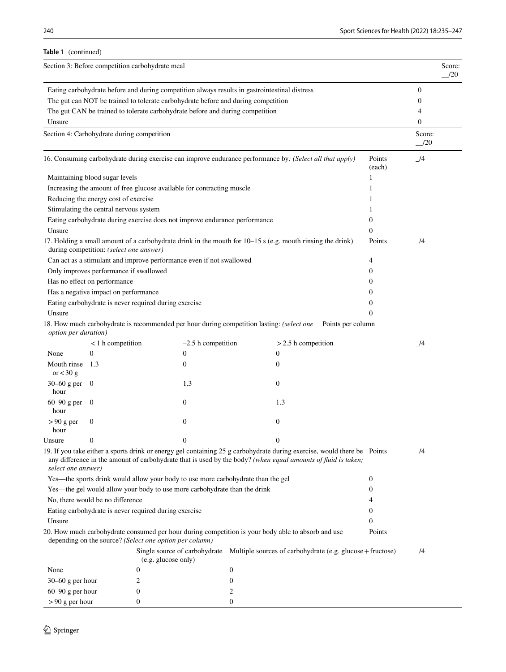**Table 1** (continued)

| Section 3: Before competition carbohydrate meal | Score: |
|-------------------------------------------------|--------|
|-------------------------------------------------|--------|

|                                                                                                          |                                         |                                                                                  |                                                                                                                                                                                                                                          |                  | /20                      |
|----------------------------------------------------------------------------------------------------------|-----------------------------------------|----------------------------------------------------------------------------------|------------------------------------------------------------------------------------------------------------------------------------------------------------------------------------------------------------------------------------------|------------------|--------------------------|
|                                                                                                          |                                         |                                                                                  | Eating carbohydrate before and during competition always results in gastrointestinal distress                                                                                                                                            |                  | $\overline{0}$           |
| The gut can NOT be trained to tolerate carbohydrate before and during competition                        |                                         |                                                                                  |                                                                                                                                                                                                                                          |                  | 0                        |
|                                                                                                          |                                         | The gut CAN be trained to tolerate carbohydrate before and during competition    |                                                                                                                                                                                                                                          |                  | 4                        |
| Unsure                                                                                                   |                                         |                                                                                  |                                                                                                                                                                                                                                          |                  | $\mathbf{0}$             |
| Section 4: Carbohydrate during competition                                                               |                                         |                                                                                  |                                                                                                                                                                                                                                          |                  | Score:<br>$\frac{1}{20}$ |
| 16. Consuming carbohydrate during exercise can improve endurance performance by: (Select all that apply) |                                         |                                                                                  |                                                                                                                                                                                                                                          |                  | $\mathcal{I}^4$          |
|                                                                                                          | Maintaining blood sugar levels          |                                                                                  |                                                                                                                                                                                                                                          | 1                |                          |
|                                                                                                          |                                         | Increasing the amount of free glucose available for contracting muscle           |                                                                                                                                                                                                                                          | 1                |                          |
|                                                                                                          | Reducing the energy cost of exercise    |                                                                                  |                                                                                                                                                                                                                                          |                  |                          |
|                                                                                                          | Stimulating the central nervous system  |                                                                                  |                                                                                                                                                                                                                                          |                  |                          |
|                                                                                                          |                                         | Eating carbohydrate during exercise does not improve endurance performance       |                                                                                                                                                                                                                                          | 0                |                          |
| Unsure                                                                                                   |                                         |                                                                                  |                                                                                                                                                                                                                                          | $\Omega$         |                          |
|                                                                                                          | during competition: (select one answer) |                                                                                  | 17. Holding a small amount of a carbohydrate drink in the mouth for 10–15 s (e.g. mouth rinsing the drink)                                                                                                                               | Points           | 14                       |
|                                                                                                          |                                         | Can act as a stimulant and improve performance even if not swallowed             |                                                                                                                                                                                                                                          | 4                |                          |
|                                                                                                          | Only improves performance if swallowed  |                                                                                  |                                                                                                                                                                                                                                          | 0                |                          |
|                                                                                                          | Has no effect on performance            |                                                                                  |                                                                                                                                                                                                                                          | 0                |                          |
|                                                                                                          | Has a negative impact on performance    |                                                                                  |                                                                                                                                                                                                                                          | 0                |                          |
|                                                                                                          |                                         | Eating carbohydrate is never required during exercise                            |                                                                                                                                                                                                                                          | 0                |                          |
| Unsure                                                                                                   |                                         |                                                                                  |                                                                                                                                                                                                                                          | $\Omega$         |                          |
| option per duration)                                                                                     |                                         |                                                                                  | 18. How much carbohydrate is recommended per hour during competition lasting: (select one<br>Points per column                                                                                                                           |                  |                          |
|                                                                                                          | $<$ 1 h competition                     | $-2.5$ h competition                                                             | $>2.5$ h competition                                                                                                                                                                                                                     |                  | 14                       |
| None                                                                                                     | $\mathbf{0}$                            | $\boldsymbol{0}$                                                                 | $\boldsymbol{0}$                                                                                                                                                                                                                         |                  |                          |
| Mouth rinse<br>or $<$ 30 g                                                                               | -1.3                                    | $\boldsymbol{0}$                                                                 | $\mathbf{0}$                                                                                                                                                                                                                             |                  |                          |
| $30 - 60$ g per 0<br>hour                                                                                |                                         | 1.3                                                                              | $\mathbf{0}$                                                                                                                                                                                                                             |                  |                          |
| 60–90 g per $0$<br>hour                                                                                  |                                         | $\boldsymbol{0}$                                                                 | 1.3                                                                                                                                                                                                                                      |                  |                          |
| $> 90$ g per<br>hour                                                                                     | $\boldsymbol{0}$                        | $\mathbf{0}$                                                                     | $\theta$                                                                                                                                                                                                                                 |                  |                          |
| Unsure                                                                                                   | 0                                       | $\boldsymbol{0}$                                                                 | $\overline{0}$                                                                                                                                                                                                                           |                  |                          |
| select one answer)                                                                                       |                                         |                                                                                  | 19. If you take either a sports drink or energy gel containing 25 g carbohydrate during exercise, would there be Points<br>any difference in the amount of carbohydrate that is used by the body? (when equal amounts of fluid is taken; |                  | $\mathcal{I}^4$          |
|                                                                                                          |                                         | Yes—the sports drink would allow your body to use more carbohydrate than the gel |                                                                                                                                                                                                                                          | $\boldsymbol{0}$ |                          |
|                                                                                                          |                                         | Yes—the gel would allow your body to use more carbohydrate than the drink        |                                                                                                                                                                                                                                          | 0                |                          |
| No, there would be no difference                                                                         |                                         |                                                                                  |                                                                                                                                                                                                                                          | 4                |                          |
|                                                                                                          |                                         | Eating carbohydrate is never required during exercise                            |                                                                                                                                                                                                                                          | 0                |                          |
| Unsure<br>$\mathbf{0}$                                                                                   |                                         |                                                                                  |                                                                                                                                                                                                                                          |                  |                          |
|                                                                                                          |                                         | depending on the source? (Select one option per column)                          | 20. How much carbohydrate consumed per hour during competition is your body able to absorb and use                                                                                                                                       | Points           |                          |
|                                                                                                          |                                         | (e.g. glucose only)                                                              | Single source of carbohydrate Multiple sources of carbohydrate (e.g. glucose + fructose)                                                                                                                                                 |                  | $\mathcal{I}4$           |
| None                                                                                                     |                                         | 0                                                                                | $\bf{0}$                                                                                                                                                                                                                                 |                  |                          |
| $30-60$ g per hour                                                                                       |                                         | 2                                                                                | $\mathbf{0}$                                                                                                                                                                                                                             |                  |                          |
| $60-90$ g per hour                                                                                       |                                         | 0                                                                                | 2                                                                                                                                                                                                                                        |                  |                          |
| $> 90$ g per hour                                                                                        |                                         |                                                                                  |                                                                                                                                                                                                                                          |                  |                          |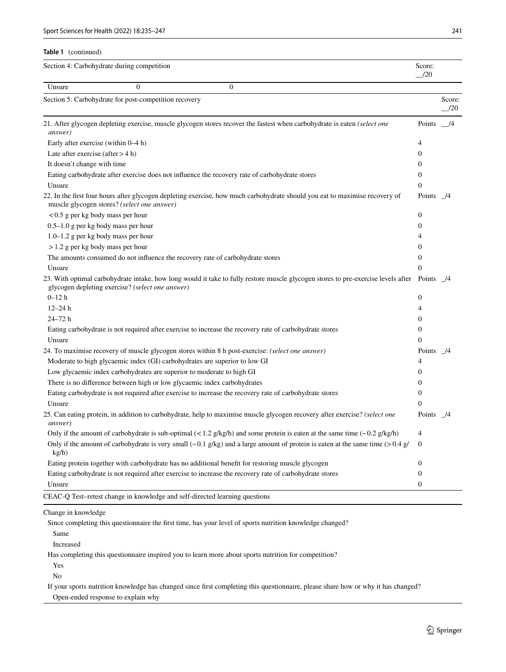**Table 1** (continued)

|                                       | Section 4: Carbohydrate during competition            |                                                                                                                                              | Score:<br>/20        |                |
|---------------------------------------|-------------------------------------------------------|----------------------------------------------------------------------------------------------------------------------------------------------|----------------------|----------------|
| Unsure                                | $\Omega$                                              | $\Omega$                                                                                                                                     |                      |                |
|                                       | Section 5: Carbohydrate for post-competition recovery |                                                                                                                                              |                      | Score:<br>/20  |
| answer)                               |                                                       | 21. After glycogen depleting exercise, muscle glycogen stores recover the fastest when carbohydrate is eaten (select one                     | Points $\frac{1}{4}$ |                |
| Early after exercise (within $0-4$ h) |                                                       |                                                                                                                                              | 4                    |                |
| Late after exercise (after $> 4$ h)   |                                                       |                                                                                                                                              | $\boldsymbol{0}$     |                |
| It doesn't change with time           |                                                       |                                                                                                                                              | $\Omega$             |                |
|                                       |                                                       | Eating carbohydrate after exercise does not influence the recovery rate of carbohydrate stores                                               | $\mathbf{0}$         |                |
| Unsure                                |                                                       |                                                                                                                                              | $\overline{0}$       |                |
|                                       | muscle glycogen stores? (select one answer)           | 22. In the first four hours after glycogen depleting exercise, how much carbohydrate should you eat to maximise recovery of                  | Points $\frac{1}{4}$ |                |
| $< 0.5$ g per kg body mass per hour   |                                                       |                                                                                                                                              | $\mathbf{0}$         |                |
| $0.5-1.0$ g per kg body mass per hour |                                                       |                                                                                                                                              | $\overline{0}$       |                |
| 1.0–1.2 g per kg body mass per hour   |                                                       |                                                                                                                                              | 4                    |                |
| $>1.2$ g per kg body mass per hour    |                                                       |                                                                                                                                              | $\mathbf{0}$         |                |
|                                       |                                                       | The amounts consumed do not influence the recovery rate of carbohydrate stores                                                               | $\overline{0}$       |                |
| Unsure                                |                                                       |                                                                                                                                              | $\theta$             |                |
|                                       | glycogen depleting exercise? (select one answer)      | 23. With optimal carbohydrate intake, how long would it take to fully restore muscle glycogen stores to pre-exercise levels after Points 1/4 |                      |                |
| $0 - 12h$                             |                                                       |                                                                                                                                              | $\boldsymbol{0}$     |                |
| $12 - 24h$                            |                                                       |                                                                                                                                              | 4                    |                |
| $24 - 72h$                            |                                                       |                                                                                                                                              | $\overline{0}$       |                |
|                                       |                                                       | Eating carbohydrate is not required after exercise to increase the recovery rate of carbohydrate stores                                      | $\boldsymbol{0}$     |                |
| Unsure                                |                                                       |                                                                                                                                              | $\theta$             |                |
|                                       |                                                       | 24. To maximise recovery of muscle glycogen stores within 8 h post-exercise: <i>(select one answer)</i>                                      | Points /4            |                |
|                                       |                                                       | Moderate to high glycaemic index (GI) carbohydrates are superior to low GI                                                                   | 4                    |                |
|                                       |                                                       | Low glycaemic index carbohydrates are superior to moderate to high GI                                                                        | $\Omega$             |                |
|                                       |                                                       | There is no difference between high or low glycaemic index carbohydrates                                                                     | 0                    |                |
|                                       |                                                       | Eating carbohydrate is not required after exercise to increase the recovery rate of carbohydrate stores                                      | $\mathbf{0}$         |                |
| Unsure                                |                                                       |                                                                                                                                              | $\theta$             |                |
| <i>answer</i> )                       |                                                       | 25. Can eating protein, in addition to carbohydrate, help to maximise muscle glycogen recovery after exercise? (select one                   | Points               | $\frac{14}{2}$ |
|                                       |                                                       | Only if the amount of carbohydrate is sub-optimal $(< 1.2$ g/kg/h) and some protein is eaten at the same time $(-0.2$ g/kg/h)                | $\overline{4}$       |                |
| kg/h)                                 |                                                       | Only if the amount of carbohydrate is very small ( $\sim 0.1$ g/kg) and a large amount of protein is eaten at the same time ( $> 0.4$ g/     | $\mathbf{0}$         |                |
|                                       |                                                       | Eating protein together with carbohydrate has no additional benefit for restoring muscle glycogen                                            | $\boldsymbol{0}$     |                |
|                                       |                                                       | Eating carbohydrate is not required after exercise to increase the recovery rate of carbohydrate stores                                      | $\boldsymbol{0}$     |                |
| Unsure                                |                                                       |                                                                                                                                              | $\mathbf{0}$         |                |
|                                       |                                                       | CEAC-Q Test-retest change in knowledge and self-directed learning questions                                                                  |                      |                |

Change in knowledge

Since completing this questionnaire the frst time, has your level of sports nutrition knowledge changed?

Same

Increased

Has completing this questionnaire inspired you to learn more about sports nutrition for competition?

Yes

No

 If your sports nutrition knowledge has changed since frst completing this questionnaire, please share how or why it has changed? Open-ended response to explain why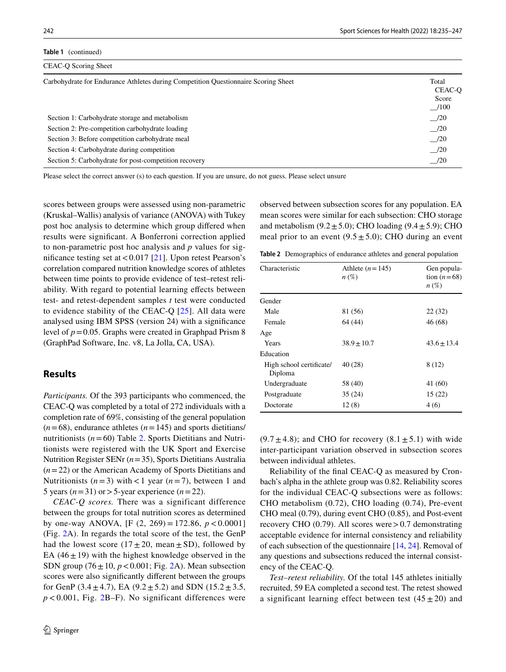```
Table 1 (continued)
```

| CEAC-O Scoring Sheet                                                               |                  |  |
|------------------------------------------------------------------------------------|------------------|--|
| Carbohydrate for Endurance Athletes during Competition Questionnaire Scoring Sheet |                  |  |
| Section 1: Carbohydrate storage and metabolism                                     | $\frac{1}{20}$   |  |
| Section 2: Pre-competition carbohydrate loading                                    | $\frac{-120}{2}$ |  |
| Section 3: Before competition carbohydrate meal                                    | $\frac{-}{20}$   |  |
| Section 4: Carbohydrate during competition                                         | $\frac{-}{20}$   |  |
| Section 5: Carbohydrate for post-competition recovery                              | $\frac{1}{20}$   |  |

Please select the correct answer (s) to each question. If you are unsure, do not guess. Please select unsure

scores between groups were assessed using non-parametric (Kruskal–Wallis) analysis of variance (ANOVA) with Tukey post hoc analysis to determine which group difered when results were signifcant. A Bonferroni correction applied to non-parametric post hoc analysis and *p* values for significance testing set at  $< 0.017$  [\[21](#page-11-14)]. Upon retest Pearson's correlation compared nutrition knowledge scores of athletes between time points to provide evidence of test–retest reliability. With regard to potential learning effects between test- and retest-dependent samples *t* test were conducted to evidence stability of the CEAC-Q [\[25\]](#page-11-19). All data were analysed using IBM SPSS (version 24) with a signifcance level of  $p = 0.05$ . Graphs were created in Graphpad Prism 8 (GraphPad Software, Inc. v8, La Jolla, CA, USA).

#### **Results**

*Participants.* Of the 393 participants who commenced, the CEAC-Q was completed by a total of 272 individuals with a completion rate of 69%, consisting of the general population  $(n=68)$ , endurance athletes  $(n=145)$  and sports dietitians/ nutritionists  $(n=60)$  Table [2.](#page-7-0) Sports Dietitians and Nutritionists were registered with the UK Sport and Exercise Nutrition Register SENr (*n*=35), Sports Dietitians Australia (*n*=22) or the American Academy of Sports Dietitians and Nutritionists  $(n=3)$  with < 1 year  $(n=7)$ , between 1 and 5 years  $(n=31)$  or > 5-year experience  $(n=22)$ .

*CEAC-Q scores.* There was a significant difference between the groups for total nutrition scores as determined by one-way ANOVA, [F  $(2, 269) = 172.86, p < 0.0001$ ] (Fig. [2](#page-8-0)A). In regards the total score of the test, the GenP had the lowest score  $(17 \pm 20, \text{ mean } \pm \text{ SD})$ , followed by EA  $(46 \pm 19)$  with the highest knowledge observed in the SDN group  $(76 \pm 10, p < 0.001;$  Fig. [2](#page-8-0)A). Mean subsection scores were also signifcantly diferent between the groups for GenP (3.4 $\pm$ 4.7), EA (9.2 $\pm$ 5.2) and SDN (15.2 $\pm$ 3.5,  $p < 0.001$ , Fig. [2](#page-8-0)B–F). No significant differences were

observed between subsection scores for any population. EA mean scores were similar for each subsection: CHO storage and metabolism  $(9.2 \pm 5.0)$ ; CHO loading  $(9.4 \pm 5.9)$ ; CHO meal prior to an event  $(9.5 \pm 5.0)$ ; CHO during an event

<span id="page-7-0"></span>**Table 2** Demographics of endurance athletes and general population

| Athlete $(n=145)$<br>$n\left(\%\right)$ | Gen popula-<br>tion $(n=68)$<br>$n\left(\%\right)$ |
|-----------------------------------------|----------------------------------------------------|
|                                         |                                                    |
| 81 (56)                                 | 22(32)                                             |
| 64 (44)                                 | 46 (68)                                            |
|                                         |                                                    |
| $38.9 \pm 10.7$                         | $43.6 + 13.4$                                      |
|                                         |                                                    |
| 40(28)                                  | 8(12)                                              |
| 58 (40)                                 | 41 (60)                                            |
| 35(24)                                  | 15(22)                                             |
| 12(8)                                   | 4(6)                                               |
|                                         |                                                    |

 $(9.7 \pm 4.8)$ ; and CHO for recovery  $(8.1 \pm 5.1)$  with wide inter-participant variation observed in subsection scores between individual athletes.

Reliability of the fnal CEAC-Q as measured by Cronbach's alpha in the athlete group was 0.82. Reliability scores for the individual CEAC-Q subsections were as follows: CHO metabolism (0.72), CHO loading (0.74), Pre-event CHO meal (0.79), during event CHO (0.85), and Post-event recovery CHO  $(0.79)$ . All scores were > 0.7 demonstrating acceptable evidence for internal consistency and reliability of each subsection of the questionnaire [\[14](#page-11-17), [24](#page-11-18)]. Removal of any questions and subsections reduced the internal consistency of the CEAC-Q.

*Test–retest reliability.* Of the total 145 athletes initially recruited, 59 EA completed a second test. The retest showed a significant learning effect between test  $(45 \pm 20)$  and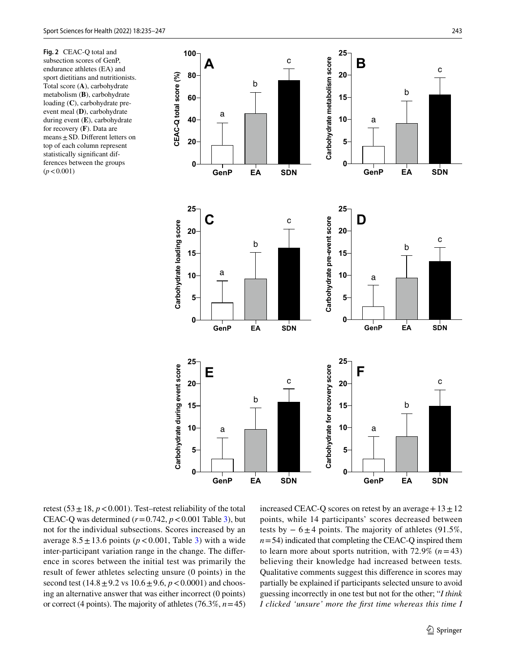<span id="page-8-0"></span>**Fig. 2** CEAC-Q total and subsection scores of GenP, endurance athletes (EA) and sport dietitians and nutritionists. Total score (**A**), carbohydrate metabolism (**B**), carbohydrate loading (**C**), carbohydrate preevent meal (**D**), carbohydrate during event (**E**), carbohydrate for recovery (**F**). Data are means  $\pm$  SD. Different letters on top of each column represent statistically signifcant differences between the groups<br> $(p < 0.001)$ 



retest (53 $\pm$ 18, *p*<0.001). Test–retest reliability of the total CEAC-Q was determined  $(r=0.742, p<0.001$  Table [3](#page-9-0)), but not for the individual subsections. Scores increased by an average  $8.5 \pm 13.6$  $8.5 \pm 13.6$  $8.5 \pm 13.6$  points ( $p < 0.001$ , Table 3) with a wide inter-participant variation range in the change. The diference in scores between the initial test was primarily the result of fewer athletes selecting unsure (0 points) in the second test  $(14.8 \pm 9.2 \text{ vs } 10.6 \pm 9.6, p < 0.0001)$  and choosing an alternative answer that was either incorrect (0 points) or correct (4 points). The majority of athletes (76.3%, *n*=45)

increased CEAC-Q scores on retest by an average  $+13±12$ points, while 14 participants' scores decreased between tests by  $-6\pm 4$  points. The majority of athletes (91.5%,  $n=54$ ) indicated that completing the CEAC-Q inspired them to learn more about sports nutrition, with  $72.9\%$  ( $n=43$ ) believing their knowledge had increased between tests*.* Qualitative comments suggest this diference in scores may partially be explained if participants selected unsure to avoid guessing incorrectly in one test but not for the other; "*I think I clicked 'unsure' more the frst time whereas this time I*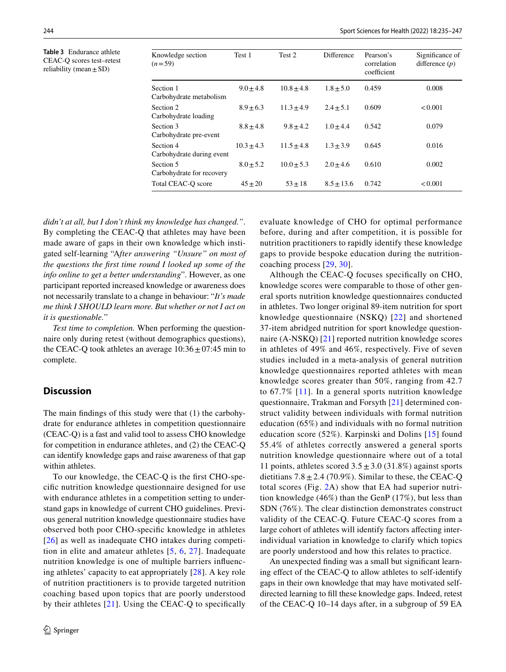<span id="page-9-0"></span>**Table 3** Endurance athlete CEAC-Q scores test–retest reliability (mean  $\pm$  SD)

| Knowledge section<br>$(n=59)$          | Test 1        | Test 2         | Difference     | Pearson's<br>correlation<br>coefficient | Significance of<br>difference $(p)$ |
|----------------------------------------|---------------|----------------|----------------|-----------------------------------------|-------------------------------------|
| Section 1<br>Carbohydrate metabolism   | $9.0 + 4.8$   | $10.8 \pm 4.8$ | $1.8 \pm 5.0$  | 0.459                                   | 0.008                               |
| Section 2<br>Carbohydrate loading      | $8.9 + 6.3$   | $11.3 + 4.9$   | $2.4 \pm 5.1$  | 0.609                                   | < 0.001                             |
| Section 3<br>Carbohydrate pre-event    | $8.8 + 4.8$   | $9.8 + 4.2$    | $1.0 + 4.4$    | 0.542                                   | 0.079                               |
| Section 4<br>Carbohydrate during event | $10.3 + 4.3$  | $11.5 + 4.8$   | $1.3 + 3.9$    | 0.645                                   | 0.016                               |
| Section 5<br>Carbohydrate for recovery | $8.0 \pm 5.2$ | $10.0 + 5.3$   | $2.0 + 4.6$    | 0.610                                   | 0.002                               |
| Total CEAC-O score                     | $45 + 20$     | $53 + 18$      | $8.5 \pm 13.6$ | 0.742                                   | < 0.001                             |

*didn't at all, but I don't think my knowledge has changed."*. By completing the CEAC-Q that athletes may have been made aware of gaps in their own knowledge which instigated self-learning "A*fter answering "Unsure" on most of the questions the frst time round I looked up some of the info online to get a better understanding*". However, as one participant reported increased knowledge or awareness does not necessarily translate to a change in behaviour: "*It's made me think I SHOULD learn more. But whether or not I act on it is questionable.*"

*Test time to completion.* When performing the questionnaire only during retest (without demographics questions), the CEAC-Q took athletes an average  $10:36 \pm 07:45$  min to complete.

# **Discussion**

The main fndings of this study were that (1) the carbohydrate for endurance athletes in competition questionnaire (CEAC-Q) is a fast and valid tool to assess CHO knowledge for competition in endurance athletes, and (2) the CEAC-Q can identify knowledge gaps and raise awareness of that gap within athletes.

To our knowledge, the CEAC-Q is the frst CHO-specifc nutrition knowledge questionnaire designed for use with endurance athletes in a competition setting to understand gaps in knowledge of current CHO guidelines. Previous general nutrition knowledge questionnaire studies have observed both poor CHO-specifc knowledge in athletes [[26](#page-11-20)] as well as inadequate CHO intakes during competition in elite and amateur athletes [[5](#page-11-21), [6,](#page-11-1) [27](#page-11-22)]. Inadequate nutrition knowledge is one of multiple barriers infuencing athletes' capacity to eat appropriately [\[28\]](#page-11-23). A key role of nutrition practitioners is to provide targeted nutrition coaching based upon topics that are poorly understood by their athletes  $[21]$  $[21]$ . Using the CEAC-Q to specifically

evaluate knowledge of CHO for optimal performance before, during and after competition, it is possible for nutrition practitioners to rapidly identify these knowledge gaps to provide bespoke education during the nutritioncoaching process [[29,](#page-11-24) [30\]](#page-11-25).

Although the CEAC-Q focuses specifcally on CHO, knowledge scores were comparable to those of other general sports nutrition knowledge questionnaires conducted in athletes. Two longer original 89-item nutrition for sport knowledge questionnaire (NSKQ) [[22\]](#page-11-15) and shortened 37-item abridged nutrition for sport knowledge questionnaire (A-NSKQ) [\[21\]](#page-11-14) reported nutrition knowledge scores in athletes of 49% and 46%, respectively. Five of seven studies included in a meta-analysis of general nutrition knowledge questionnaires reported athletes with mean knowledge scores greater than 50%, ranging from 42.7 to 67.7% [[11](#page-11-5)]. In a general sports nutrition knowledge questionnaire, Trakman and Forsyth [[21](#page-11-14)] determined construct validity between individuals with formal nutrition education (65%) and individuals with no formal nutrition education score (52%). Karpinski and Dolins [\[15\]](#page-11-7) found 55.4% of athletes correctly answered a general sports nutrition knowledge questionnaire where out of a total 11 points, athletes scored  $3.5 \pm 3.0$  (31.8%) against sports dietitians  $7.8 \pm 2.4$  (70.9%). Similar to these, the CEAC-Q total scores (Fig. [2](#page-8-0)A) show that EA had superior nutrition knowledge (46%) than the GenP (17%), but less than SDN (76%). The clear distinction demonstrates construct validity of the CEAC-Q. Future CEAC-Q scores from a large cohort of athletes will identify factors afecting interindividual variation in knowledge to clarify which topics are poorly understood and how this relates to practice.

An unexpected fnding was a small but signifcant learning efect of the CEAC-Q to allow athletes to self-identify gaps in their own knowledge that may have motivated selfdirected learning to fll these knowledge gaps. Indeed, retest of the CEAC-Q 10–14 days after, in a subgroup of 59 EA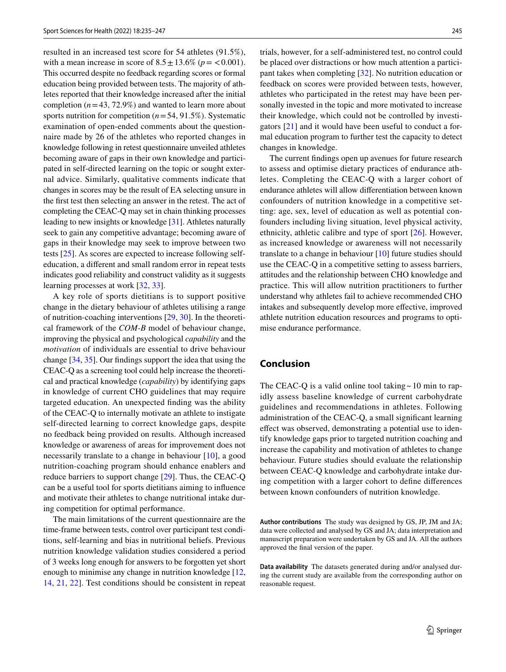resulted in an increased test score for 54 athletes (91.5%), with a mean increase in score of  $8.5 \pm 13.6\%$  ( $p = < 0.001$ ). This occurred despite no feedback regarding scores or formal education being provided between tests. The majority of athletes reported that their knowledge increased after the initial completion  $(n=43, 72.9\%)$  and wanted to learn more about sports nutrition for competition (*n*=54, 91.5%). Systematic examination of open-ended comments about the questionnaire made by 26 of the athletes who reported changes in knowledge following in retest questionnaire unveiled athletes becoming aware of gaps in their own knowledge and participated in self-directed learning on the topic or sought external advice. Similarly, qualitative comments indicate that changes in scores may be the result of EA selecting unsure in the frst test then selecting an answer in the retest. The act of completing the CEAC-Q may set in chain thinking processes leading to new insights or knowledge [[31\]](#page-12-0). Athletes naturally seek to gain any competitive advantage; becoming aware of gaps in their knowledge may seek to improve between two tests [\[25](#page-11-19)]. As scores are expected to increase following selfeducation, a diferent and small random error in repeat tests indicates good reliability and construct validity as it suggests learning processes at work [[32](#page-12-1), [33](#page-12-2)].

A key role of sports dietitians is to support positive change in the dietary behaviour of athletes utilising a range of nutrition-coaching interventions [[29,](#page-11-24) [30\]](#page-11-25). In the theoretical framework of the *COM-B* model of behaviour change, improving the physical and psychological *capability* and the *motivation* of individuals are essential to drive behaviour change [[34,](#page-12-3) [35](#page-12-4)]. Our fndings support the idea that using the CEAC-Q as a screening tool could help increase the theoretical and practical knowledge (*capability*) by identifying gaps in knowledge of current CHO guidelines that may require targeted education. An unexpected fnding was the ability of the CEAC-Q to internally motivate an athlete to instigate self-directed learning to correct knowledge gaps, despite no feedback being provided on results. Although increased knowledge or awareness of areas for improvement does not necessarily translate to a change in behaviour [[10\]](#page-11-4), a good nutrition-coaching program should enhance enablers and reduce barriers to support change [[29\]](#page-11-24). Thus, the CEAC-Q can be a useful tool for sports dietitians aiming to infuence and motivate their athletes to change nutritional intake during competition for optimal performance.

The main limitations of the current questionnaire are the time-frame between tests, control over participant test conditions, self-learning and bias in nutritional beliefs. Previous nutrition knowledge validation studies considered a period of 3 weeks long enough for answers to be forgotten yet short enough to minimise any change in nutrition knowledge [[12,](#page-11-6) [14](#page-11-17), [21,](#page-11-14) [22\]](#page-11-15). Test conditions should be consistent in repeat trials, however, for a self-administered test, no control could be placed over distractions or how much attention a participant takes when completing [\[32](#page-12-1)]. No nutrition education or feedback on scores were provided between tests, however, athletes who participated in the retest may have been personally invested in the topic and more motivated to increase their knowledge, which could not be controlled by investigators [[21\]](#page-11-14) and it would have been useful to conduct a formal education program to further test the capacity to detect changes in knowledge.

The current fndings open up avenues for future research to assess and optimise dietary practices of endurance athletes. Completing the CEAC-Q with a larger cohort of endurance athletes will allow diferentiation between known confounders of nutrition knowledge in a competitive setting: age, sex, level of education as well as potential confounders including living situation, level physical activity, ethnicity, athletic calibre and type of sport [[26\]](#page-11-20). However, as increased knowledge or awareness will not necessarily translate to a change in behaviour [\[10](#page-11-4)] future studies should use the CEAC-Q in a competitive setting to assess barriers, attitudes and the relationship between CHO knowledge and practice. This will allow nutrition practitioners to further understand why athletes fail to achieve recommended CHO intakes and subsequently develop more efective, improved athlete nutrition education resources and programs to optimise endurance performance.

# **Conclusion**

The CEAC-Q is a valid online tool taking  $\sim$  10 min to rapidly assess baseline knowledge of current carbohydrate guidelines and recommendations in athletes. Following administration of the CEAC-Q, a small signifcant learning efect was observed, demonstrating a potential use to identify knowledge gaps prior to targeted nutrition coaching and increase the capability and motivation of athletes to change behaviour. Future studies should evaluate the relationship between CEAC-Q knowledge and carbohydrate intake during competition with a larger cohort to defne diferences between known confounders of nutrition knowledge.

**Author contributions** The study was designed by GS, JP, JM and JA; data were collected and analysed by GS and JA; data interpretation and manuscript preparation were undertaken by GS and JA. All the authors approved the fnal version of the paper.

**Data availability** The datasets generated during and/or analysed during the current study are available from the corresponding author on reasonable request.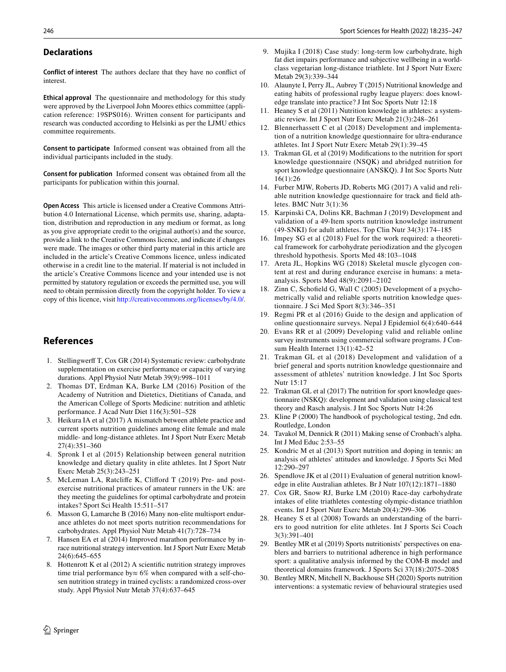#### **Declarations**

**Conflict of interest** The authors declare that they have no confict of interest.

**Ethical approval** The questionnaire and methodology for this study were approved by the Liverpool John Moores ethics committee (application reference: 19SPS016). Written consent for participants and research was conducted according to Helsinki as per the LJMU ethics committee requirements.

**Consent to participate** Informed consent was obtained from all the individual participants included in the study.

**Consent for publication** Informed consent was obtained from all the participants for publication within this journal.

**Open Access** This article is licensed under a Creative Commons Attribution 4.0 International License, which permits use, sharing, adaptation, distribution and reproduction in any medium or format, as long as you give appropriate credit to the original author(s) and the source, provide a link to the Creative Commons licence, and indicate if changes were made. The images or other third party material in this article are included in the article's Creative Commons licence, unless indicated otherwise in a credit line to the material. If material is not included in the article's Creative Commons licence and your intended use is not permitted by statutory regulation or exceeds the permitted use, you will need to obtain permission directly from the copyright holder. To view a copy of this licence, visit <http://creativecommons.org/licenses/by/4.0/>.

# **References**

- <span id="page-11-0"></span>1. Stellingwerff T, Cox GR (2014) Systematic review: carbohydrate supplementation on exercise performance or capacity of varying durations. Appl Physiol Nutr Metab 39(9):998–1011
- <span id="page-11-8"></span>2. Thomas DT, Erdman KA, Burke LM (2016) Position of the Academy of Nutrition and Dietetics, Dietitians of Canada, and the American College of Sports Medicine: nutrition and athletic performance. J Acad Nutr Diet 116(3):501–528
- 3. Heikura IA et al (2017) A mismatch between athlete practice and current sports nutrition guidelines among elite female and male middle- and long-distance athletes. Int J Sport Nutr Exerc Metab 27(4):351–360
- 4. Spronk I et al (2015) Relationship between general nutrition knowledge and dietary quality in elite athletes. Int J Sport Nutr Exerc Metab 25(3):243–251
- <span id="page-11-21"></span>5. McLeman LA, Ratclife K, Cliford T (2019) Pre- and postexercise nutritional practices of amateur runners in the UK: are they meeting the guidelines for optimal carbohydrate and protein intakes? Sport Sci Health 15:511–517
- <span id="page-11-1"></span>6. Masson G, Lamarche B (2016) Many non-elite multisport endurance athletes do not meet sports nutrition recommendations for carbohydrates. Appl Physiol Nutr Metab 41(7):728–734
- <span id="page-11-2"></span>7. Hansen EA et al (2014) Improved marathon performance by inrace nutritional strategy intervention. Int J Sport Nutr Exerc Metab 24(6):645–655
- 8. Hottenrott K et al (2012) A scientifc nutrition strategy improves time trial performance by≈ 6% when compared with a self-chosen nutrition strategy in trained cyclists: a randomized cross-over study. Appl Physiol Nutr Metab 37(4):637–645
- <span id="page-11-3"></span>9. Mujika I (2018) Case study: long-term low carbohydrate, high fat diet impairs performance and subjective wellbeing in a worldclass vegetarian long-distance triathlete. Int J Sport Nutr Exerc Metab 29(3):339–344
- <span id="page-11-4"></span>10. Alaunyte I, Perry JL, Aubrey T (2015) Nutritional knowledge and eating habits of professional rugby league players: does knowledge translate into practice? J Int Soc Sports Nutr 12:18
- <span id="page-11-5"></span>11. Heaney S et al (2011) Nutrition knowledge in athletes: a systematic review. Int J Sport Nutr Exerc Metab 21(3):248–261
- <span id="page-11-6"></span>12. Blennerhassett C et al (2018) Development and implementation of a nutrition knowledge questionnaire for ultra-endurance athletes. Int J Sport Nutr Exerc Metab 29(1):39–45
- 13. Trakman GL et al (2019) Modifcations to the nutrition for sport knowledge questionnaire (NSQK) and abridged nutrition for sport knowledge questionnaire (ANSKQ). J Int Soc Sports Nutr 16(1):26
- <span id="page-11-17"></span>14. Furber MJW, Roberts JD, Roberts MG (2017) A valid and reliable nutrition knowledge questionnaire for track and feld athletes. BMC Nutr 3(1):36
- <span id="page-11-7"></span>15. Karpinski CA, Dolins KR, Bachman J (2019) Development and validation of a 49-Item sports nutrition knowledge instrument (49-SNKI) for adult athletes. Top Clin Nutr 34(3):174–185
- <span id="page-11-9"></span>16. Impey SG et al (2018) Fuel for the work required: a theoretical framework for carbohydrate periodization and the glycogen threshold hypothesis. Sports Med 48:103–1048
- <span id="page-11-10"></span>17. Areta JL, Hopkins WG (2018) Skeletal muscle glycogen content at rest and during endurance exercise in humans: a metaanalysis. Sports Med 48(9):2091–2102
- <span id="page-11-11"></span>18. Zinn C, Schofeld G, Wall C (2005) Development of a psychometrically valid and reliable sports nutrition knowledge questionnaire. J Sci Med Sport 8(3):346–351
- <span id="page-11-12"></span>19. Regmi PR et al (2016) Guide to the design and application of online questionnaire surveys. Nepal J Epidemiol 6(4):640–644
- <span id="page-11-13"></span>20. Evans RR et al (2009) Developing valid and reliable online survey instruments using commercial software programs. J Consum Health Internet 13(1):42–52
- <span id="page-11-14"></span>21. Trakman GL et al (2018) Development and validation of a brief general and sports nutrition knowledge questionnaire and assessment of athletes' nutrition knowledge. J Int Soc Sports Nutr 15:17
- <span id="page-11-15"></span>22. Trakman GL et al (2017) The nutrition for sport knowledge questionnaire (NSKQ): development and validation using classical test theory and Rasch analysis. J Int Soc Sports Nutr 14:26
- <span id="page-11-16"></span>23. Kline P (2000) The handbook of psychological testing, 2nd edn. Routledge, London
- <span id="page-11-18"></span>24. Tavakol M, Dennick R (2011) Making sense of Cronbach's alpha. Int J Med Educ 2:53–55
- <span id="page-11-19"></span>25. Kondric M et al (2013) Sport nutrition and doping in tennis: an analysis of athletes' attitudes and knowledge. J Sports Sci Med 12:290–297
- <span id="page-11-20"></span>26. Spendlove JK et al (2011) Evaluation of general nutrition knowledge in elite Australian athletes. Br J Nutr 107(12):1871–1880
- <span id="page-11-22"></span>27. Cox GR, Snow RJ, Burke LM (2010) Race-day carbohydrate intakes of elite triathletes contesting olympic-distance triathlon events. Int J Sport Nutr Exerc Metab 20(4):299–306
- <span id="page-11-23"></span>28. Heaney S et al (2008) Towards an understanding of the barriers to good nutrition for elite athletes. Int J Sports Sci Coach 3(3):391–401
- <span id="page-11-24"></span>29. Bentley MR et al (2019) Sports nutritionists' perspectives on enablers and barriers to nutritional adherence in high performance sport: a qualitative analysis informed by the COM-B model and theoretical domains framework. J Sports Sci 37(18):2075–2085
- <span id="page-11-25"></span>30. Bentley MRN, Mitchell N, Backhouse SH (2020) Sports nutrition interventions: a systematic review of behavioural strategies used